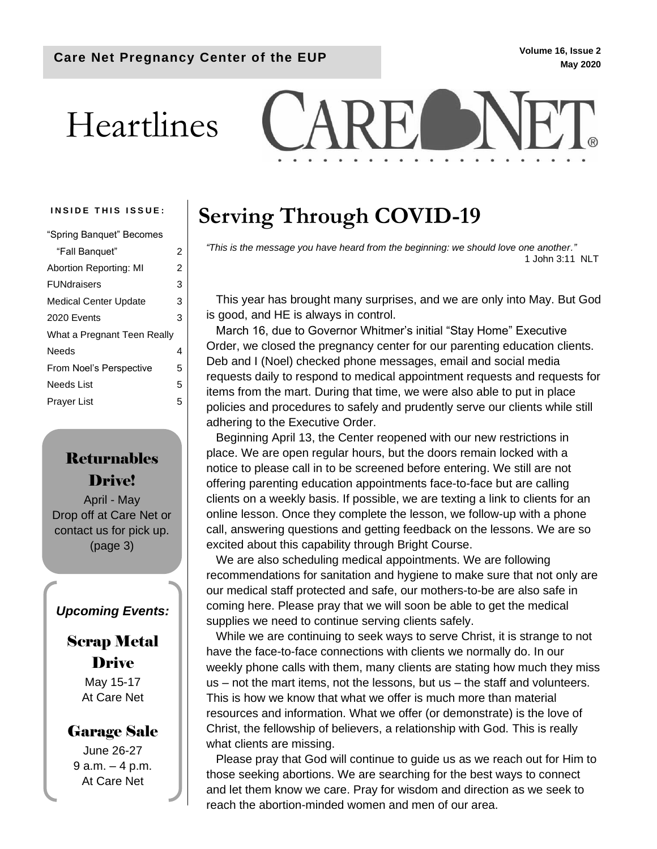### **May 2020**

# Heartlines



| "Spring Banquet" Becomes     |                |
|------------------------------|----------------|
| "Fall Banquet"               | 2              |
| Abortion Reporting: MI       | $\overline{2}$ |
| <b>FUNdraisers</b>           | 3              |
| <b>Medical Center Update</b> | 3              |
| 2020 Events                  | 3              |
| What a Pregnant Teen Really  |                |
| Needs                        | 4              |
| From Noel's Perspective      | 5              |
| Needs List                   | 5              |
| Praver List                  | 5              |
|                              |                |

### Returnables Drive!

April - May Drop off at Care Net or contact us for pick up. (page 3)

#### *Upcoming Events:*

### Scrap Metal Drive

May 15-17 At Care Net

#### Garage Sale

June 26-27 9 a.m. – 4 p.m. At Care Net

### INSIDE THIS ISSUE: | Serving Through COVID-19

*"This is the message you have heard from the beginning: we should love one another."* 1 John 3:11 NLT

This year has brought many surprises, and we are only into May. But God is good, and HE is always in control.

March 16, due to Governor Whitmer's initial "Stay Home" Executive Order, we closed the pregnancy center for our parenting education clients. Deb and I (Noel) checked phone messages, email and social media requests daily to respond to medical appointment requests and requests for items from the mart. During that time, we were also able to put in place policies and procedures to safely and prudently serve our clients while still adhering to the Executive Order.

Beginning April 13, the Center reopened with our new restrictions in place. We are open regular hours, but the doors remain locked with a notice to please call in to be screened before entering. We still are not offering parenting education appointments face-to-face but are calling clients on a weekly basis. If possible, we are texting a link to clients for an online lesson. Once they complete the lesson, we follow-up with a phone call, answering questions and getting feedback on the lessons. We are so excited about this capability through Bright Course.

We are also scheduling medical appointments. We are following recommendations for sanitation and hygiene to make sure that not only are our medical staff protected and safe, our mothers-to-be are also safe in coming here. Please pray that we will soon be able to get the medical supplies we need to continue serving clients safely.

While we are continuing to seek ways to serve Christ, it is strange to not have the face-to-face connections with clients we normally do. In our weekly phone calls with them, many clients are stating how much they miss us – not the mart items, not the lessons, but us – the staff and volunteers. This is how we know that what we offer is much more than material resources and information. What we offer (or demonstrate) is the love of Christ, the fellowship of believers, a relationship with God. This is really what clients are missing.

Please pray that God will continue to guide us as we reach out for Him to those seeking abortions. We are searching for the best ways to connect and let them know we care. Pray for wisdom and direction as we seek to reach the abortion-minded women and men of our area.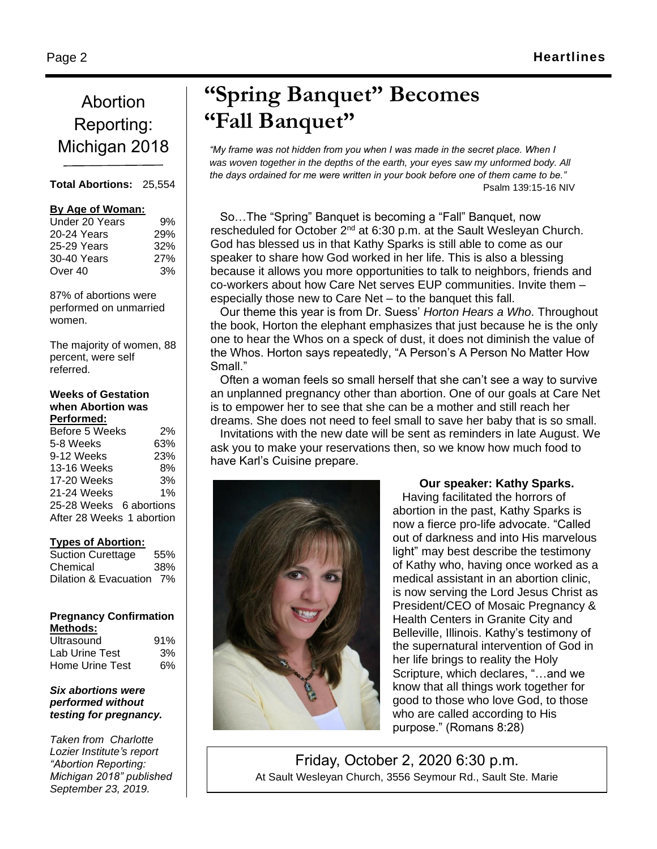### Abortion Reporting: Michigan 2018

#### **Total Abortions:** 25,554

#### **By Age of Woman:**

| 9%  |
|-----|
| 29% |
| 32% |
| 27% |
| 3%  |
|     |

87% of abortions were performed on unmarried women.

The majority of women, 88 percent, were self referred.

#### **Weeks of Gestation when Abortion was Performed:**

| 2%                        |
|---------------------------|
| 63%                       |
| 23%                       |
| 8%                        |
| 3%                        |
| 1%                        |
| 25-28 Weeks 6 abortions   |
| After 28 Weeks 1 abortion |
|                           |

#### **Types of Abortion:**

| <b>Suction Curettage</b> | 55% |
|--------------------------|-----|
| Chemical                 | 38% |
| Dilation & Evacuation 7% |     |

#### **Pregnancy Confirmation Methods:**

| Ultrasound      | 91% |
|-----------------|-----|
| Lab Urine Test  | 3%  |
| Home Urine Test | 6%  |

#### *Six abortions were performed without testing for pregnancy.*

*Taken from Charlotte Lozier Institute's report "Abortion Reporting: Michigan 2018" published September 23, 2019.*

## **"Spring Banquet" Becomes "Fall Banquet"**

*"My frame was not hidden from you when I was made in the secret place. When I was woven together in the depths of the earth, your eyes saw my unformed body. All the days ordained for me were written in your book before one of them came to be."* Psalm 139:15-16 NIV

So…The "Spring" Banquet is becoming a "Fall" Banquet, now rescheduled for October 2<sup>nd</sup> at 6:30 p.m. at the Sault Wesleyan Church. God has blessed us in that Kathy Sparks is still able to come as our speaker to share how God worked in her life. This is also a blessing because it allows you more opportunities to talk to neighbors, friends and co-workers about how Care Net serves EUP communities. Invite them – especially those new to Care Net – to the banquet this fall.

Our theme this year is from Dr. Suess' *Horton Hears a Who*. Throughout the book, Horton the elephant emphasizes that just because he is the only one to hear the Whos on a speck of dust, it does not diminish the value of the Whos. Horton says repeatedly, "A Person's A Person No Matter How Small."

Often a woman feels so small herself that she can't see a way to survive an unplanned pregnancy other than abortion. One of our goals at Care Net is to empower her to see that she can be a mother and still reach her dreams. She does not need to feel small to save her baby that is so small. Invitations with the new date will be sent as reminders in late August. We ask you to make your reservations then, so we know how much food to have Karl's Cuisine prepare.



#### **Our speaker: Kathy Sparks.**

Having facilitated the horrors of abortion in the past, Kathy Sparks is now a fierce pro-life advocate. "Called out of darkness and into His marvelous light" may best describe the testimony of Kathy who, having once worked as a medical assistant in an abortion clinic, is now serving the Lord Jesus Christ as President/CEO of Mosaic Pregnancy & Health Centers in Granite City and Belleville, Illinois. Kathy's testimony of the supernatural intervention of God in her life brings to reality the Holy Scripture, which declares, "…and we know that all things work together for good to those who love God, to those who are called according to His purpose." (Romans 8:28)

Friday, October 2, 2020 6:30 p.m. At Sault Wesleyan Church, 3556 Seymour Rd., Sault Ste. Marie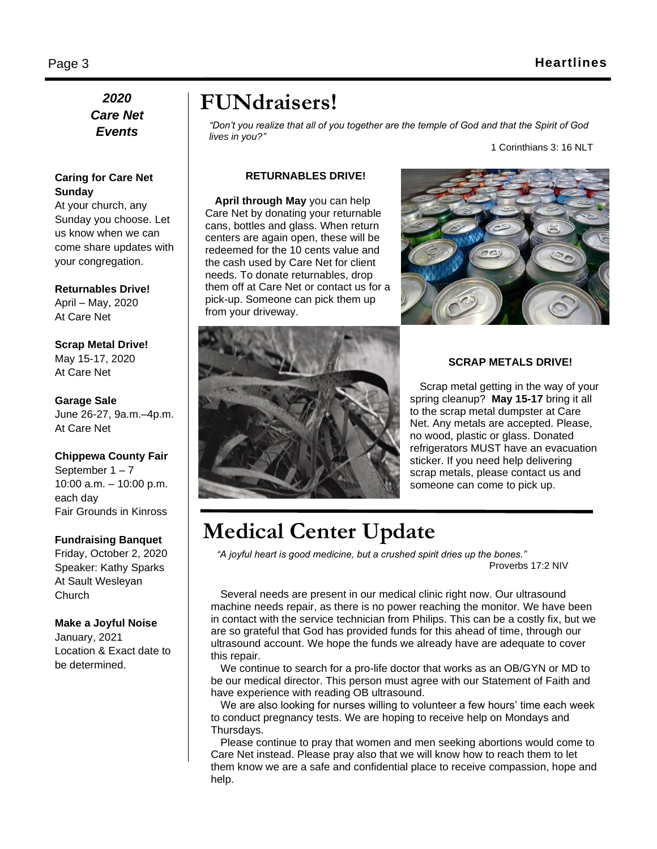#### *2020 Care Net Events*

#### **Caring for Care Net Sunday**

At your church, any Sunday you choose. Let us know when we can come share updates with your congregation.

#### **Returnables Drive!**

April – May, 2020 At Care Net

**Scrap Metal Drive!** May 15-17, 2020 At Care Net

**Garage Sale** June 26-27, 9a.m.–4p.m. At Care Net

**Chippewa County Fair** September 1 – 7 10:00 a.m. – 10:00 p.m. each day Fair Grounds in Kinross

#### **Fundraising Banquet**

Friday, October 2, 2020 Speaker: Kathy Sparks At Sault Wesleyan **Church** 

#### **Make a Joyful Noise**

January, 2021 Location & Exact date to be determined.

### **FUNdraisers!**

*"Don't you realize that all of you together are the temple of God and that the Spirit of God lives in you?"*

1 Corinthians 3: 16 NLT

#### **RETURNABLES DRIVE!**

**April through May** you can help Care Net by donating your returnable cans, bottles and glass. When return centers are again open, these will be redeemed for the 10 cents value and the cash used by Care Net for client needs. To donate returnables, drop them off at Care Net or contact us for a pick-up. Someone can pick them up from your driveway.





#### **SCRAP METALS DRIVE!**

Scrap metal getting in the way of your spring cleanup? **May 15-17** bring it all to the scrap metal dumpster at Care Net. Any metals are accepted. Please, no wood, plastic or glass. Donated refrigerators MUST have an evacuation sticker. If you need help delivering scrap metals, please contact us and someone can come to pick up.

### **Medical Center Update**

*"A joyful heart is good medicine, but a crushed spirit dries up the bones."* Proverbs 17:2 NIV

Several needs are present in our medical clinic right now. Our ultrasound machine needs repair, as there is no power reaching the monitor. We have been in contact with the service technician from Philips. This can be a costly fix, but we are so grateful that God has provided funds for this ahead of time, through our ultrasound account. We hope the funds we already have are adequate to cover this repair.

We continue to search for a pro-life doctor that works as an OB/GYN or MD to be our medical director. This person must agree with our Statement of Faith and have experience with reading OB ultrasound.

We are also looking for nurses willing to volunteer a few hours' time each week to conduct pregnancy tests. We are hoping to receive help on Mondays and Thursdays.

Please continue to pray that women and men seeking abortions would come to Care Net instead. Please pray also that we will know how to reach them to let them know we are a safe and confidential place to receive compassion, hope and help.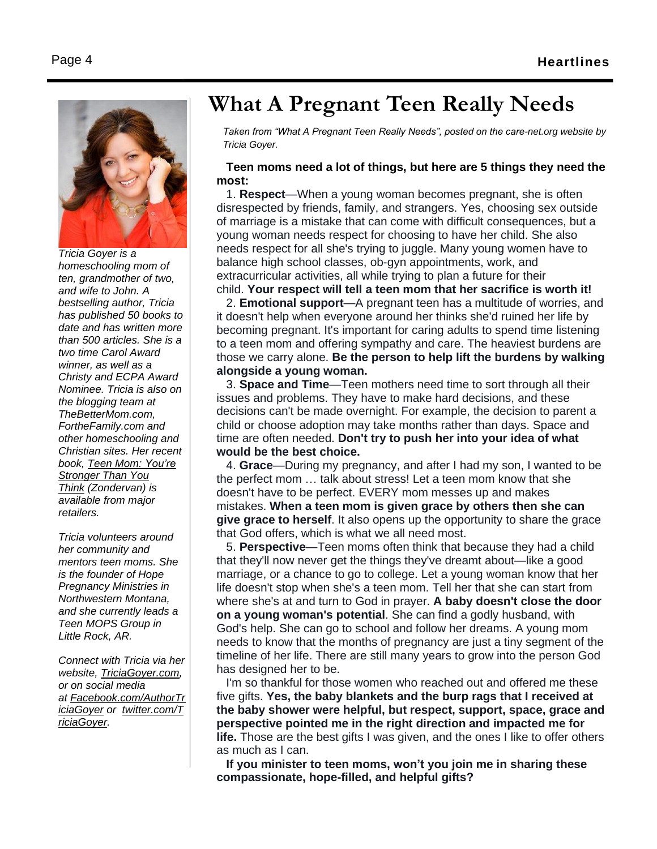

*Tricia Goyer is a homeschooling mom of ten, grandmother of two, and wife to John. A bestselling author, Tricia has published 50 books to date and has written more than 500 articles. She is a two time Carol Award winner, as well as a Christy and ECPA Award Nominee. Tricia is also on the blogging team at TheBetterMom.com, FortheFamily.com and other homeschooling and Christian sites. Her recent book, Teen Mom: [You're](http://www.triciagoyer.com/teen-mom/) [Stronger](http://www.triciagoyer.com/teen-mom/) Than You [Think](http://www.triciagoyer.com/teen-mom/) (Zondervan) is available from major retailers.*

*Tricia volunteers around her community and mentors teen moms. She is the founder of Hope Pregnancy Ministries in Northwestern Montana, and she currently leads a Teen MOPS Group in Little Rock, AR.*

*Connect with Tricia via her website, [TriciaGoyer.com,](http://www.triciagoyer.com/) or on social media at [Facebook.com/AuthorTr](http://www.facebook.com/AuthorTriciaGoyer) [iciaGoyer](http://www.facebook.com/AuthorTriciaGoyer) or [twitter.com/T](http://www.twitter.com/TriciaGoyer) [riciaGoyer.](http://www.twitter.com/TriciaGoyer)*

### **What A Pregnant Teen Really Needs**

*Taken from "What A Pregnant Teen Really Needs", posted on the care-net.org website by Tricia Goyer.*

#### **Teen moms need a lot of things, but here are 5 things they need the most:**

1. **Respect**—When a young woman becomes pregnant, she is often disrespected by friends, family, and strangers. Yes, choosing sex outside of marriage is a mistake that can come with difficult consequences, but a young woman needs respect for choosing to have her child. She also needs respect for all she's trying to juggle. Many young women have to balance high school classes, ob-gyn appointments, work, and extracurricular activities, all while trying to plan a future for their child. **Your respect will tell a teen mom that her sacrifice is worth it!**

2. **Emotional support**—A pregnant teen has a multitude of worries, and it doesn't help when everyone around her thinks she'd ruined her life by becoming pregnant. It's important for caring adults to spend time listening to a teen mom and offering sympathy and care. The heaviest burdens are those we carry alone. **Be the person to help lift the burdens by walking alongside a young woman.**

3. **Space and Time**—Teen mothers need time to sort through all their issues and problems. They have to make hard decisions, and these decisions can't be made overnight. For example, the decision to parent a child or choose adoption may take months rather than days. Space and time are often needed. **Don't try to push her into your idea of what would be the best choice.**

4. **Grace**—During my pregnancy, and after I had my son, I wanted to be the perfect mom … talk about stress! Let a teen mom know that she doesn't have to be perfect. EVERY mom messes up and makes mistakes. **When a teen mom is given grace by others then she can give grace to herself**. It also opens up the opportunity to share the grace that God offers, which is what we all need most.

5. **Perspective**—Teen moms often think that because they had a child that they'll now never get the things they've dreamt about—like a good marriage, or a chance to go to college. Let a young woman know that her life doesn't stop when she's a teen mom. Tell her that she can start from where she's at and turn to God in prayer. **A baby doesn't close the door on a young woman's potential**. She can find a godly husband, with God's help. She can go to school and follow her dreams. A young mom needs to know that the months of pregnancy are just a tiny segment of the timeline of her life. There are still many years to grow into the person God has designed her to be.

I'm so thankful for those women who reached out and offered me these five gifts. **Yes, the baby blankets and the burp rags that I received at the baby shower were helpful, but respect, support, space, grace and perspective pointed me in the right direction and impacted me for life.** Those are the best gifts I was given, and the ones I like to offer others as much as I can.

**If you minister to teen moms, won't you join me in sharing these compassionate, hope-filled, and helpful gifts?**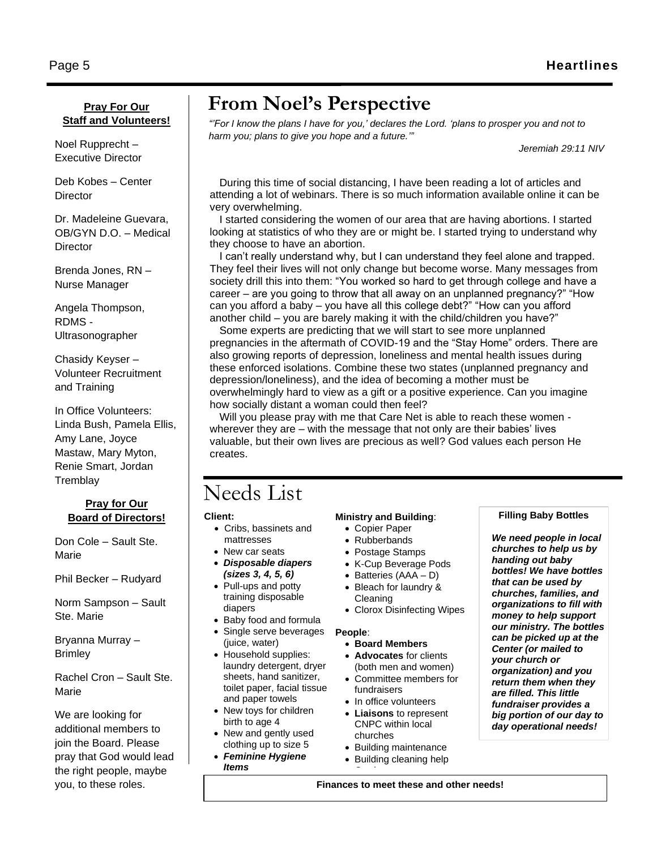#### **Pray For Our Staff and Volunteers!**

Noel Rupprecht – Executive Director

Deb Kobes – Center **Director** 

Dr. Madeleine Guevara, OB/GYN D.O. – Medical **Director** 

Brenda Jones, RN – Nurse Manager

Angela Thompson, RDMS - Ultrasonographer

Chasidy Keyser – Volunteer Recruitment and Training

In Office Volunteers: Linda Bush, Pamela Ellis, Amy Lane, Joyce Mastaw, Mary Myton, Renie Smart, Jordan **Tremblav** 

#### **Pray for Our Board of Directors!**

Don Cole – Sault Ste. Marie

Phil Becker – Rudyard

Norm Sampson – Sault Ste. Marie

Bryanna Murray – **Brimley** 

Rachel Cron – Sault Ste. Marie

We are looking for additional members to join the Board. Please pray that God would lead the right people, maybe you, to these roles.

### **From Noel's Perspective**

*"'For I know the plans I have for you,' declares the Lord. 'plans to prosper you and not to harm you; plans to give you hope and a future.'"*

*Jeremiah 29:11 NIV*

During this time of social distancing, I have been reading a lot of articles and attending a lot of webinars. There is so much information available online it can be very overwhelming.

I started considering the women of our area that are having abortions. I started looking at statistics of who they are or might be. I started trying to understand why they choose to have an abortion.

I can't really understand why, but I can understand they feel alone and trapped. They feel their lives will not only change but become worse. Many messages from society drill this into them: "You worked so hard to get through college and have a career – are you going to throw that all away on an unplanned pregnancy?" "How can you afford a baby – you have all this college debt?" "How can you afford another child – you are barely making it with the child/children you have?"

Some experts are predicting that we will start to see more unplanned pregnancies in the aftermath of COVID-19 and the "Stay Home" orders. There are also growing reports of depression, loneliness and mental health issues during these enforced isolations. Combine these two states (unplanned pregnancy and depression/loneliness), and the idea of becoming a mother must be overwhelmingly hard to view as a gift or a positive experience. Can you imagine how socially distant a woman could then feel?

Will you please pray with me that Care Net is able to reach these women wherever they are – with the message that not only are their babies' lives valuable, but their own lives are precious as well? God values each person He creates.

### Needs List

**Client:**

- Cribs, bassinets and mattresses
- New car seats
- *Disposable diapers (sizes 3, 4, 5, 6)*
- Pull-ups and potty training disposable diapers
- Baby food and formula
- Single serve beverages
- (juice, water) • Household supplies: laundry detergent, dryer sheets, hand sanitizer, toilet paper, facial tissue
- and paper towels • New toys for children birth to age 4
- New and gently used clothing up to size 5
- *Feminine Hygiene Items*

#### **Ministry and Building**:

- Copier Paper
- Rubberbands
- Postage Stamps
- K-Cup Beverage Pods
- Batteries (AAA D)
- Bleach for laundry & Cleaning
- Clorox Disinfecting Wipes

#### **People**:

#### • **Board Members**

- **Advocates** for clients (both men and women)
- Committee members for fundraisers
- In office volunteers
- **Liaisons** to represent CNPC within local churches
- Building maintenance
- Building cleaning help • Gardener

#### **Filling Baby Bottles**

*We need people in local churches to help us by handing out baby bottles! We have bottles that can be used by churches, families, and organizations to fill with money to help support our ministry. The bottles can be picked up at the Center (or mailed to your church or organization) and you return them when they are filled. This little fundraiser provides a big portion of our day to day operational needs!*

**Finances to meet these and other needs!**